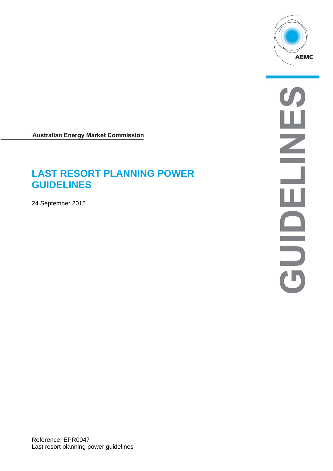

**Australian Energy Market Commission** 

# **LAST RESORT PLANNING POWER GUIDELINES**

24 September 2015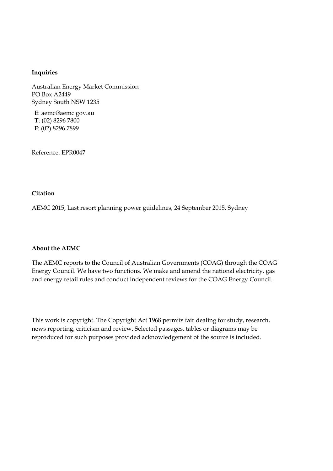#### **Inquiries**

Australian Energy Market Commission PO Box A2449 Sydney South NSW 1235

**E**: aemc@aemc.gov.au **T**: (02) 8296 7800 **F**: (02) 8296 7899

Reference: EPR0047

#### **Citation**

AEMC 2015, Last resort planning power guidelines, 24 September 2015, Sydney

#### **About the AEMC**

The AEMC reports to the Council of Australian Governments (COAG) through the COAG Energy Council. We have two functions. We make and amend the national electricity, gas and energy retail rules and conduct independent reviews for the COAG Energy Council.

This work is copyright. The Copyright Act 1968 permits fair dealing for study, research, news reporting, criticism and review. Selected passages, tables or diagrams may be reproduced for such purposes provided acknowledgement of the source is included.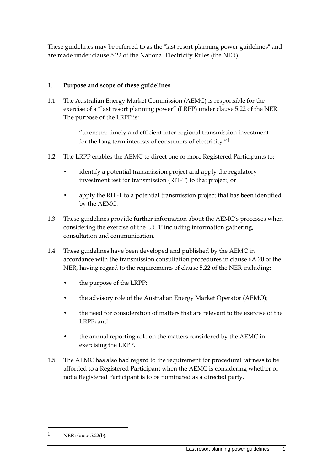These guidelines may be referred to as the "last resort planning power guidelines" and are made under clause 5.22 of the National Electricity Rules (the NER).

# **1**. **Purpose and scope of these guidelines**

1.1 The Australian Energy Market Commission (AEMC) is responsible for the exercise of a "last resort planning power" (LRPP) under clause 5.22 of the NER. The purpose of the LRPP is:

> "to ensure timely and efficient inter-regional transmission investment for the long term interests of consumers of electricity."1

- 1.2 The LRPP enables the AEMC to direct one or more Registered Participants to:
	- identify a potential transmission project and apply the regulatory investment test for transmission (RIT-T) to that project; or
	- apply the RIT-T to a potential transmission project that has been identified by the AEMC.
- 1.3 These guidelines provide further information about the AEMC's processes when considering the exercise of the LRPP including information gathering, consultation and communication.
- 1.4 These guidelines have been developed and published by the AEMC in accordance with the transmission consultation procedures in clause 6A.20 of the NER, having regard to the requirements of clause 5.22 of the NER including:
	- the purpose of the LRPP;
	- the advisory role of the Australian Energy Market Operator (AEMO);
	- the need for consideration of matters that are relevant to the exercise of the LRPP; and
	- the annual reporting role on the matters considered by the AEMC in exercising the LRPP.
- 1.5 The AEMC has also had regard to the requirement for procedural fairness to be afforded to a Registered Participant when the AEMC is considering whether or not a Registered Participant is to be nominated as a directed party.

1

 $1$  NER clause 5.22(b).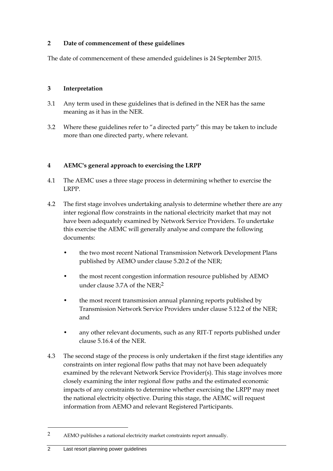# **2 Date of commencement of these guidelines**

The date of commencement of these amended guidelines is 24 September 2015.

## **3 Interpretation**

- 3.1 Any term used in these guidelines that is defined in the NER has the same meaning as it has in the NER.
- 3.2 Where these guidelines refer to "a directed party" this may be taken to include more than one directed party, where relevant.

# **4 AEMC's general approach to exercising the LRPP**

- 4.1 The AEMC uses a three stage process in determining whether to exercise the LRPP.
- 4.2 The first stage involves undertaking analysis to determine whether there are any inter regional flow constraints in the national electricity market that may not have been adequately examined by Network Service Providers. To undertake this exercise the AEMC will generally analyse and compare the following documents:
	- the two most recent National Transmission Network Development Plans published by AEMO under clause 5.20.2 of the NER;
	- the most recent congestion information resource published by AEMO under clause 3.7A of the NER;2
	- the most recent transmission annual planning reports published by Transmission Network Service Providers under clause 5.12.2 of the NER; and
	- any other relevant documents, such as any RIT-T reports published under clause 5.16.4 of the NER.
- 4.3 The second stage of the process is only undertaken if the first stage identifies any constraints on inter regional flow paths that may not have been adequately examined by the relevant Network Service Provider(s). This stage involves more closely examining the inter regional flow paths and the estimated economic impacts of any constraints to determine whether exercising the LRPP may meet the national electricity objective. During this stage, the AEMC will request information from AEMO and relevant Registered Participants.

1

<sup>2</sup> AEMO publishes a national electricity market constraints report annually.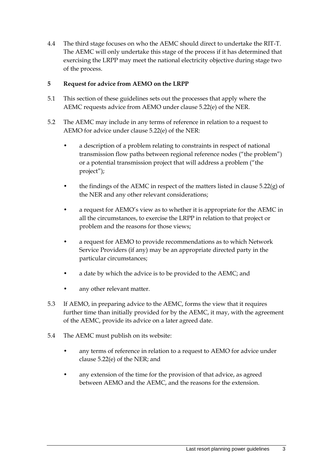4.4 The third stage focuses on who the AEMC should direct to undertake the RIT-T. The AEMC will only undertake this stage of the process if it has determined that exercising the LRPP may meet the national electricity objective during stage two of the process.

# **5 Request for advice from AEMO on the LRPP**

- 5.1 This section of these guidelines sets out the processes that apply where the AEMC requests advice from AEMO under clause 5.22(e) of the NER.
- 5.2 The AEMC may include in any terms of reference in relation to a request to AEMO for advice under clause 5.22(e) of the NER:
	- a description of a problem relating to constraints in respect of national transmission flow paths between regional reference nodes ("the problem") or a potential transmission project that will address a problem ("the project");
	- the findings of the AEMC in respect of the matters listed in clause  $5.22(g)$  of the NER and any other relevant considerations;
	- a request for AEMO's view as to whether it is appropriate for the AEMC in all the circumstances, to exercise the LRPP in relation to that project or problem and the reasons for those views;
	- a request for AEMO to provide recommendations as to which Network Service Providers (if any) may be an appropriate directed party in the particular circumstances;
	- a date by which the advice is to be provided to the AEMC; and
	- any other relevant matter.
- 5.3 If AEMO, in preparing advice to the AEMC, forms the view that it requires further time than initially provided for by the AEMC, it may, with the agreement of the AEMC, provide its advice on a later agreed date.
- 5.4 The AEMC must publish on its website:
	- any terms of reference in relation to a request to AEMO for advice under clause 5.22(e) of the NER; and
	- any extension of the time for the provision of that advice, as agreed between AEMO and the AEMC, and the reasons for the extension.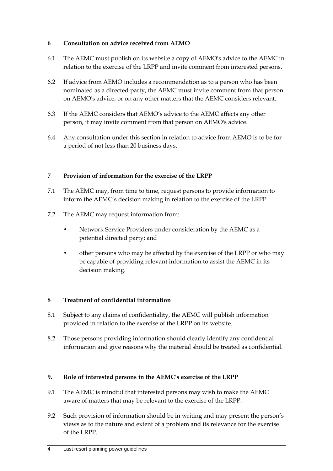# **6 Consultation on advice received from AEMO**

- 6.1 The AEMC must publish on its website a copy of AEMO's advice to the AEMC in relation to the exercise of the LRPP and invite comment from interested persons.
- 6.2 If advice from AEMO includes a recommendation as to a person who has been nominated as a directed party, the AEMC must invite comment from that person on AEMO's advice, or on any other matters that the AEMC considers relevant.
- 6.3 If the AEMC considers that AEMO's advice to the AEMC affects any other person, it may invite comment from that person on AEMO's advice.
- 6.4 Any consultation under this section in relation to advice from AEMO is to be for a period of not less than 20 business days.

# **7 Provision of information for the exercise of the LRPP**

- 7.1 The AEMC may, from time to time, request persons to provide information to inform the AEMC's decision making in relation to the exercise of the LRPP.
- 7.2 The AEMC may request information from:
	- Network Service Providers under consideration by the AEMC as a potential directed party; and
	- other persons who may be affected by the exercise of the LRPP or who may be capable of providing relevant information to assist the AEMC in its decision making.

## **8 Treatment of confidential information**

- 8.1 Subject to any claims of confidentiality, the AEMC will publish information provided in relation to the exercise of the LRPP on its website.
- 8.2 Those persons providing information should clearly identify any confidential information and give reasons why the material should be treated as confidential.

## **9. Role of interested persons in the AEMC's exercise of the LRPP**

- 9.1 The AEMC is mindful that interested persons may wish to make the AEMC aware of matters that may be relevant to the exercise of the LRPP.
- 9.2 Such provision of information should be in writing and may present the person's views as to the nature and extent of a problem and its relevance for the exercise of the LRPP.